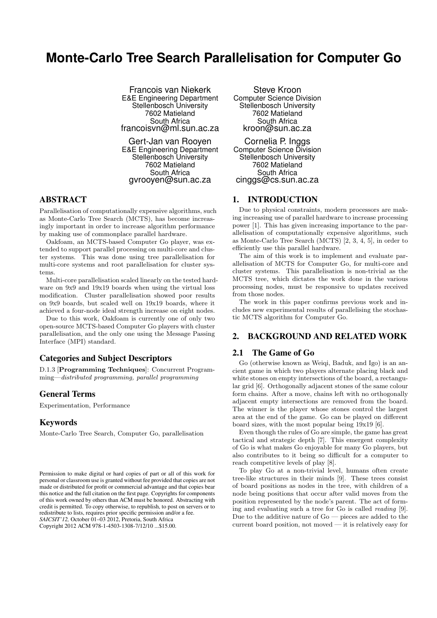# **Monte-Carlo Tree Search Parallelisation for Computer Go**

Francois van Niekerk E&E Engineering Department Stellenbosch University 7602 Matieland South Africa francoisvn@ml.sun.ac.za

Gert-Jan van Rooyen E&E Engineering Department Stellenbosch University 7602 Matieland South Africa gvrooyen@sun.ac.za

# ABSTRACT

Parallelisation of computationally expensive algorithms, such as Monte-Carlo Tree Search (MCTS), has become increasingly important in order to increase algorithm performance by making use of commonplace parallel hardware.

Oakfoam, an MCTS-based Computer Go player, was extended to support parallel processing on multi-core and cluster systems. This was done using tree parallelisation for multi-core systems and root parallelisation for cluster systems.

Multi-core parallelisation scaled linearly on the tested hardware on 9x9 and 19x19 boards when using the virtual loss modification. Cluster parallelisation showed poor results on 9x9 boards, but scaled well on 19x19 boards, where it achieved a four-node ideal strength increase on eight nodes.

Due to this work, Oakfoam is currently one of only two open-source MCTS-based Computer Go players with cluster parallelisation, and the only one using the Message Passing Interface (MPI) standard.

## Categories and Subject Descriptors

D.1.3 [Programming Techniques]: Concurrent Programming—distributed programming, parallel programming

## General Terms

Experimentation, Performance

# Keywords

Monte-Carlo Tree Search, Computer Go, parallelisation

Steve Kroon Computer Science Division Stellenbosch University 7602 Matieland South Africa kroon@sun.ac.za

Cornelia P. Inggs Computer Science Division Stellenbosch University 7602 Matieland South Africa cinggs@cs.sun.ac.za

## 1. INTRODUCTION

Due to physical constraints, modern processors are making increasing use of parallel hardware to increase processing power [1]. This has given increasing importance to the parallelisation of computationally expensive algorithms, such as Monte-Carlo Tree Search (MCTS) [2, 3, 4, 5], in order to efficiently use this parallel hardware.

The aim of this work is to implement and evaluate parallelisation of MCTS for Computer Go, for multi-core and cluster systems. This parallelisation is non-trivial as the MCTS tree, which dictates the work done in the various processing nodes, must be responsive to updates received from those nodes.

The work in this paper confirms previous work and includes new experimental results of parallelising the stochastic MCTS algorithm for Computer Go.

# 2. BACKGROUND AND RELATED WORK

# 2.1 The Game of Go

Go (otherwise known as Weiqi, Baduk, and Igo) is an ancient game in which two players alternate placing black and white stones on empty intersections of the board, a rectangular grid [6]. Orthogonally adjacent stones of the same colour form chains. After a move, chains left with no orthogonally adjacent empty intersections are removed from the board. The winner is the player whose stones control the largest area at the end of the game. Go can be played on different board sizes, with the most popular being 19x19 [6].

Even though the rules of Go are simple, the game has great tactical and strategic depth [7]. This emergent complexity of Go is what makes Go enjoyable for many Go players, but also contributes to it being so difficult for a computer to reach competitive levels of play [8].

To play Go at a non-trivial level, humans often create tree-like structures in their minds [9]. These trees consist of board positions as nodes in the tree, with children of a node being positions that occur after valid moves from the position represented by the node's parent. The act of forming and evaluating such a tree for Go is called reading [9]. Due to the additive nature of Go — pieces are added to the current board position, not moved — it is relatively easy for

Permission to make digital or hard copies of part or all of this work for personal or classroom use is granted without fee provided that copies are not made or distributed for profit or commercial advantage and that copies bear this notice and the full citation on the first page. Copyrights for components of this work owned by others than ACM must be honored. Abstracting with credit is permitted. To copy otherwise, to republish, to post on servers or to redistribute to lists, requires prior specific permission and/or a fee. *SAICSIT'12,* October 01–03 2012, Pretoria, South Africa Copyright 2012 ACM 978-1-4503-1308-7/12/10 ...\$15.00.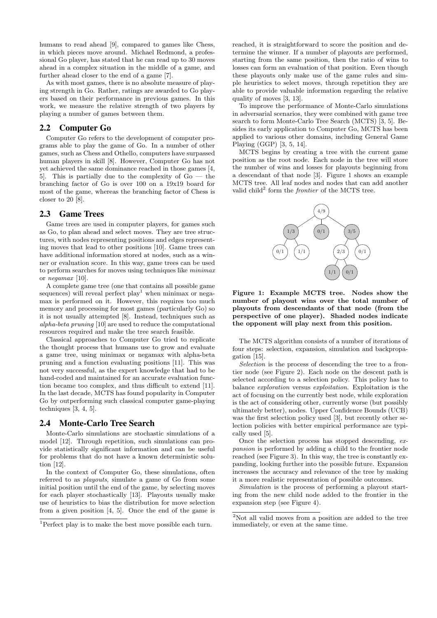humans to read ahead [9], compared to games like Chess, in which pieces move around. Michael Redmond, a professional Go player, has stated that he can read up to 30 moves ahead in a complex situation in the middle of a game, and further ahead closer to the end of a game [7].

As with most games, there is no absolute measure of playing strength in Go. Rather, ratings are awarded to Go players based on their performance in previous games. In this work, we measure the relative strength of two players by playing a number of games between them.

#### 2.2 Computer Go

Computer Go refers to the development of computer programs able to play the game of Go. In a number of other games, such as Chess and Othello, computers have surpassed human players in skill [8]. However, Computer Go has not yet achieved the same dominance reached in those games [4, 5. This is partially due to the complexity of  $Go$  — the branching factor of Go is over 100 on a 19x19 board for most of the game, whereas the branching factor of Chess is closer to 20 [8].

## 2.3 Game Trees

Game trees are used in computer players, for games such as Go, to plan ahead and select moves. They are tree structures, with nodes representing positions and edges representing moves that lead to other positions [10]. Game trees can have additional information stored at nodes, such as a winner or evaluation score. In this way, game trees can be used to perform searches for moves using techniques like minimax or negamax [10].

A complete game tree (one that contains all possible game sequences) will reveal perfect  $play<sup>1</sup>$  when minimax or negamax is performed on it. However, this requires too much memory and processing for most games (particularly Go) so it is not usually attempted [8]. Instead, techniques such as alpha-beta pruning [10] are used to reduce the computational resources required and make the tree search feasible.

Classical approaches to Computer Go tried to replicate the thought process that humans use to grow and evaluate a game tree, using minimax or negamax with alpha-beta pruning and a function evaluating positions [11]. This was not very successful, as the expert knowledge that had to be hand-coded and maintained for an accurate evaluation function became too complex, and thus difficult to extend [11]. In the last decade, MCTS has found popularity in Computer Go by outperforming such classical computer game-playing techniques [3, 4, 5].

#### 2.4 Monte-Carlo Tree Search

Monte-Carlo simulations are stochastic simulations of a model [12]. Through repetition, such simulations can provide statistically significant information and can be useful for problems that do not have a known deterministic solution [12].

In the context of Computer Go, these simulations, often referred to as playouts, simulate a game of Go from some initial position until the end of the game, by selecting moves for each player stochastically [13]. Playouts usually make use of heuristics to bias the distribution for move selection from a given position [4, 5]. Once the end of the game is

reached, it is straightforward to score the position and determine the winner. If a number of playouts are performed, starting from the same position, then the ratio of wins to losses can form an evaluation of that position. Even though these playouts only make use of the game rules and simple heuristics to select moves, through repetition they are able to provide valuable information regarding the relative quality of moves [3, 13].

To improve the performance of Monte-Carlo simulations in adversarial scenarios, they were combined with game tree search to form Monte-Carlo Tree Search (MCTS) [3, 5]. Besides its early application to Computer Go, MCTS has been applied to various other domains, including General Game Playing (GGP) [3, 5, 14].

MCTS begins by creating a tree with the current game position as the root node. Each node in the tree will store the number of wins and losses for playouts beginning from a descendant of that node [3]. Figure 1 shows an example MCTS tree. All leaf nodes and nodes that can add another valid child<sup>2</sup> form the *frontier* of the MCTS tree.



Figure 1: Example MCTS tree. Nodes show the number of playout wins over the total number of playouts from descendants of that node (from the perspective of one player). Shaded nodes indicate the opponent will play next from this position.

The MCTS algorithm consists of a number of iterations of four steps: selection, expansion, simulation and backpropagation [15].

Selection is the process of descending the tree to a frontier node (see Figure 2). Each node on the descent path is selected according to a selection policy. This policy has to balance exploration versus exploitation. Exploitation is the act of focusing on the currently best node, while exploration is the act of considering other, currently worse (but possibly ultimately better), nodes. Upper Confidence Bounds (UCB) was the first selection policy used [3], but recently other selection policies with better empirical performance are typically used [5].

Once the selection process has stopped descending, expansion is performed by adding a child to the frontier node reached (see Figure 3). In this way, the tree is constantly expanding, looking further into the possible future. Expansion increases the accuracy and relevance of the tree by making it a more realistic representation of possible outcomes.

Simulation is the process of performing a playout starting from the new child node added to the frontier in the expansion step (see Figure 4).

<sup>1</sup>Perfect play is to make the best move possible each turn.

<sup>2</sup>Not all valid moves from a position are added to the tree immediately, or even at the same time.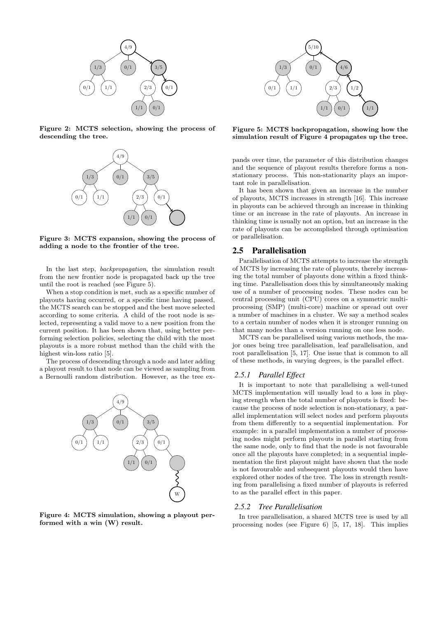

Figure 2: MCTS selection, showing the process of descending the tree.



Figure 3: MCTS expansion, showing the process of adding a node to the frontier of the tree.

In the last step, backpropagation, the simulation result from the new frontier node is propagated back up the tree until the root is reached (see Figure 5).

When a stop condition is met, such as a specific number of playouts having occurred, or a specific time having passed, the MCTS search can be stopped and the best move selected according to some criteria. A child of the root node is selected, representing a valid move to a new position from the current position. It has been shown that, using better performing selection policies, selecting the child with the most playouts is a more robust method than the child with the highest win-loss ratio [5].

The process of descending through a node and later adding a playout result to that node can be viewed as sampling from a Bernoulli random distribution. However, as the tree ex-



Figure 4: MCTS simulation, showing a playout performed with a win (W) result.



Figure 5: MCTS backpropagation, showing how the simulation result of Figure 4 propagates up the tree.

pands over time, the parameter of this distribution changes and the sequence of playout results therefore forms a nonstationary process. This non-stationarity plays an important role in parallelisation.

It has been shown that given an increase in the number of playouts, MCTS increases in strength [16]. This increase in playouts can be achieved through an increase in thinking time or an increase in the rate of playouts. An increase in thinking time is usually not an option, but an increase in the rate of playouts can be accomplished through optimisation or parallelisation.

#### 2.5 Parallelisation

Parallelisation of MCTS attempts to increase the strength of MCTS by increasing the rate of playouts, thereby increasing the total number of playouts done within a fixed thinking time. Parallelisation does this by simultaneously making use of a number of processing nodes. These nodes can be central processing unit (CPU) cores on a symmetric multiprocessing (SMP) (multi-core) machine or spread out over a number of machines in a cluster. We say a method scales to a certain number of nodes when it is stronger running on that many nodes than a version running on one less node.

MCTS can be parallelised using various methods, the major ones being tree parallelisation, leaf parallelisation, and root parallelisation [5, 17]. One issue that is common to all of these methods, in varying degrees, is the parallel effect.

#### *2.5.1 Parallel Effect*

It is important to note that parallelising a well-tuned MCTS implementation will usually lead to a loss in playing strength when the total number of playouts is fixed: because the process of node selection is non-stationary, a parallel implementation will select nodes and perform playouts from them differently to a sequential implementation. For example: in a parallel implementation a number of processing nodes might perform playouts in parallel starting from the same node, only to find that the node is not favourable once all the playouts have completed; in a sequential implementation the first playout might have shown that the node is not favourable and subsequent playouts would then have explored other nodes of the tree. The loss in strength resulting from parallelising a fixed number of playouts is referred to as the parallel effect in this paper.

#### *2.5.2 Tree Parallelisation*

In tree parallelisation, a shared MCTS tree is used by all processing nodes (see Figure 6) [5, 17, 18]. This implies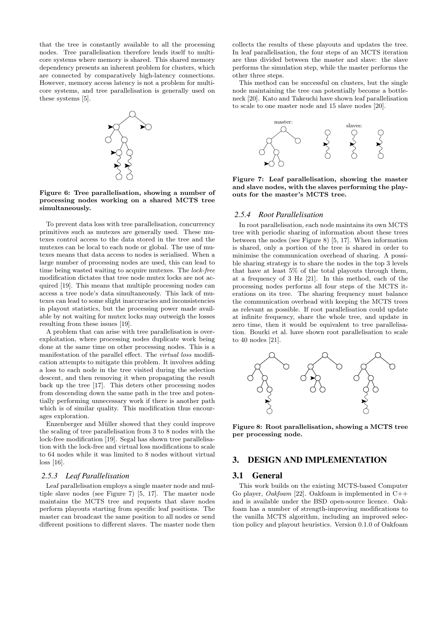that the tree is constantly available to all the processing nodes. Tree parallelisation therefore lends itself to multicore systems where memory is shared. This shared memory dependency presents an inherent problem for clusters, which are connected by comparatively high-latency connections. However, memory access latency is not a problem for multicore systems, and tree parallelisation is generally used on these systems [5].



Figure 6: Tree parallelisation, showing a number of processing nodes working on a shared MCTS tree simultaneously.

To prevent data loss with tree parallelisation, concurrency primitives such as mutexes are generally used. These mutexes control access to the data stored in the tree and the mutexes can be local to each node or global. The use of mutexes means that data access to nodes is serialised. When a large number of processing nodes are used, this can lead to time being wasted waiting to acquire mutexes. The lock-free modification dictates that tree node mutex locks are not acquired [19]. This means that multiple processing nodes can access a tree node's data simultaneously. This lack of mutexes can lead to some slight inaccuracies and inconsistencies in playout statistics, but the processing power made available by not waiting for mutex locks may outweigh the losses resulting from these issues [19].

A problem that can arise with tree parallelisation is overexploitation, where processing nodes duplicate work being done at the same time on other processing nodes. This is a manifestation of the parallel effect. The virtual loss modification attempts to mitigate this problem. It involves adding a loss to each node in the tree visited during the selection descent, and then removing it when propagating the result back up the tree [17]. This deters other processing nodes from descending down the same path in the tree and potentially performing unnecessary work if there is another path which is of similar quality. This modification thus encourages exploration.

Enzenberger and Müller showed that they could improve the scaling of tree parallelisation from 3 to 8 nodes with the lock-free modification [19]. Segal has shown tree parallelisation with the lock-free and virtual loss modifications to scale to 64 nodes while it was limited to 8 nodes without virtual loss [16].

#### *2.5.3 Leaf Parallelisation*

Leaf parallelisation employs a single master node and multiple slave nodes (see Figure 7) [5, 17]. The master node maintains the MCTS tree and requests that slave nodes perform playouts starting from specific leaf positions. The master can broadcast the same position to all nodes or send different positions to different slaves. The master node then

collects the results of these playouts and updates the tree. In leaf parallelisation, the four steps of an MCTS iteration are thus divided between the master and slave: the slave performs the simulation step, while the master performs the other three steps.

This method can be successful on clusters, but the single node maintaining the tree can potentially become a bottleneck [20]. Kato and Takeuchi have shown leaf parallelisation to scale to one master node and 15 slave nodes [20].



Figure 7: Leaf parallelisation, showing the master and slave nodes, with the slaves performing the playouts for the master's MCTS tree.

#### *2.5.4 Root Parallelisation*

In root parallelisation, each node maintains its own MCTS tree with periodic sharing of information about these trees between the nodes (see Figure 8) [5, 17]. When information is shared, only a portion of the tree is shared in order to minimise the communication overhead of sharing. A possible sharing strategy is to share the nodes in the top 3 levels that have at least 5% of the total playouts through them, at a frequency of 3 Hz [21]. In this method, each of the processing nodes performs all four steps of the MCTS iterations on its tree. The sharing frequency must balance the communication overhead with keeping the MCTS trees as relevant as possible. If root parallelisation could update at infinite frequency, share the whole tree, and update in zero time, then it would be equivalent to tree parallelisation. Bourki et al. have shown root parallelisation to scale to 40 nodes [21].



Figure 8: Root parallelisation, showing a MCTS tree per processing node.

## 3. DESIGN AND IMPLEMENTATION

#### 3.1 General

This work builds on the existing MCTS-based Computer Go player, *Oakfoam* [22]. Oakfoam is implemented in  $C++$ and is available under the BSD open-source licence. Oakfoam has a number of strength-improving modifications to the vanilla MCTS algorithm, including an improved selection policy and playout heuristics. Version 0.1.0 of Oakfoam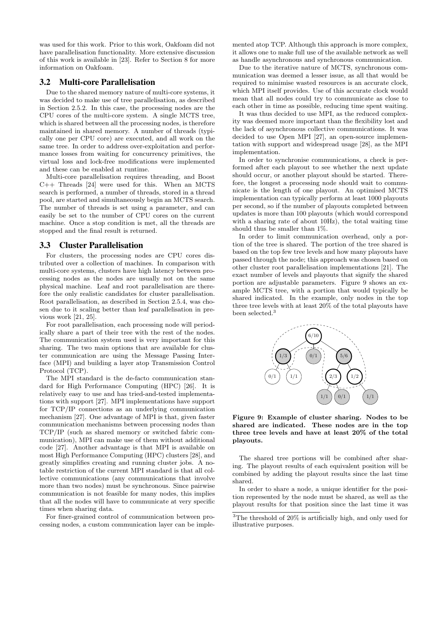was used for this work. Prior to this work, Oakfoam did not have parallelisation functionality. More extensive discussion of this work is available in [23]. Refer to Section 8 for more information on Oakfoam.

#### 3.2 Multi-core Parallelisation

Due to the shared memory nature of multi-core systems, it was decided to make use of tree parallelisation, as described in Section 2.5.2. In this case, the processing nodes are the CPU cores of the multi-core system. A single MCTS tree, which is shared between all the processing nodes, is therefore maintained in shared memory. A number of threads (typically one per CPU core) are executed, and all work on the same tree. In order to address over-exploitation and performance losses from waiting for concurrency primitives, the virtual loss and lock-free modifications were implemented and these can be enabled at runtime.

Multi-core parallelisation requires threading, and Boost C++ Threads [24] were used for this. When an MCTS search is performed, a number of threads, stored in a thread pool, are started and simultaneously begin an MCTS search. The number of threads is set using a parameter, and can easily be set to the number of CPU cores on the current machine. Once a stop condition is met, all the threads are stopped and the final result is returned.

## 3.3 Cluster Parallelisation

For clusters, the processing nodes are CPU cores distributed over a collection of machines. In comparison with multi-core systems, clusters have high latency between processing nodes as the nodes are usually not on the same physical machine. Leaf and root parallelisation are therefore the only realistic candidates for cluster parallelisation. Root parallelisation, as described in Section 2.5.4, was chosen due to it scaling better than leaf parallelisation in previous work [21, 25].

For root parallelisation, each processing node will periodically share a part of their tree with the rest of the nodes. The communication system used is very important for this sharing. The two main options that are available for cluster communication are using the Message Passing Interface (MPI) and building a layer atop Transmission Control Protocol (TCP).

The MPI standard is the de-facto communication standard for High Performance Computing (HPC) [26]. It is relatively easy to use and has tried-and-tested implementations with support [27]. MPI implementations have support for TCP/IP connections as an underlying communication mechanism [27]. One advantage of MPI is that, given faster communication mechanisms between processing nodes than TCP/IP (such as shared memory or switched fabric communication), MPI can make use of them without additional code [27]. Another advantage is that MPI is available on most High Performance Computing (HPC) clusters [28], and greatly simplifies creating and running cluster jobs. A notable restriction of the current MPI standard is that all collective communications (any communications that involve more than two nodes) must be synchronous. Since pairwise communication is not feasible for many nodes, this implies that all the nodes will have to communicate at very specific times when sharing data.

For finer-grained control of communication between processing nodes, a custom communication layer can be imple-

mented atop TCP. Although this approach is more complex, it allows one to make full use of the available network as well as handle asynchronous and synchronous communication.

Due to the iterative nature of MCTS, synchronous communication was deemed a lesser issue, as all that would be required to minimise wasted resources is an accurate clock, which MPI itself provides. Use of this accurate clock would mean that all nodes could try to communicate as close to each other in time as possible, reducing time spent waiting.

It was thus decided to use MPI, as the reduced complexity was deemed more important than the flexibility lost and the lack of asynchronous collective communications. It was decided to use Open MPI [27], an open-source implementation with support and widespread usage [28], as the MPI implementation.

In order to synchronise communications, a check is performed after each playout to see whether the next update should occur, or another playout should be started. Therefore, the longest a processing node should wait to communicate is the length of one playout. An optimised MCTS implementation can typically perform at least 1000 playouts per second, so if the number of playouts completed between updates is more than 100 playouts (which would correspond with a sharing rate of about 10Hz), the total waiting time should thus be smaller than 1%.

In order to limit communication overhead, only a portion of the tree is shared. The portion of the tree shared is based on the top few tree levels and how many playouts have passed through the node; this approach was chosen based on other cluster root parallelisation implementations [21]. The exact number of levels and playouts that signify the shared portion are adjustable parameters. Figure 9 shows an example MCTS tree, with a portion that would typically be shared indicated. In the example, only nodes in the top three tree levels with at least 20% of the total playouts have been selected.<sup>3</sup>



Figure 9: Example of cluster sharing. Nodes to be shared are indicated. These nodes are in the top three tree levels and have at least 20% of the total playouts.

The shared tree portions will be combined after sharing. The playout results of each equivalent position will be combined by adding the playout results since the last time shared.

In order to share a node, a unique identifier for the position represented by the node must be shared, as well as the playout results for that position since the last time it was

 $3$ The threshold of 20% is artificially high, and only used for illustrative purposes.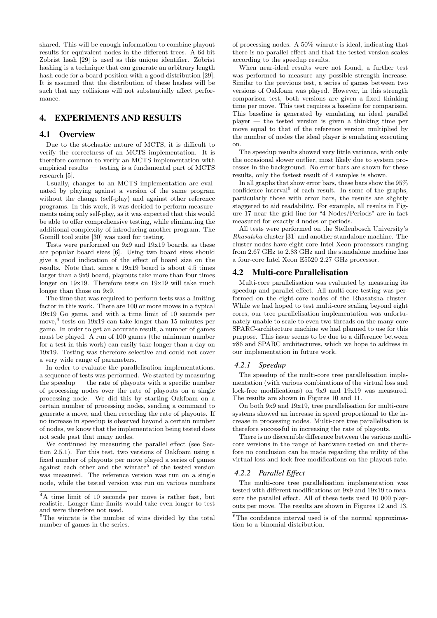shared. This will be enough information to combine playout results for equivalent nodes in the different trees. A 64-bit Zobrist hash [29] is used as this unique identifier. Zobrist hashing is a technique that can generate an arbitrary length hash code for a board position with a good distribution [29]. It is assumed that the distribution of these hashes will be such that any collisions will not substantially affect performance.

# 4. EXPERIMENTS AND RESULTS

## 4.1 Overview

Due to the stochastic nature of MCTS, it is difficult to verify the correctness of an MCTS implementation. It is therefore common to verify an MCTS implementation with empirical results — testing is a fundamental part of MCTS research [5].

Usually, changes to an MCTS implementation are evaluated by playing against a version of the same program without the change (self-play) and against other reference programs. In this work, it was decided to perform measurements using only self-play, as it was expected that this would be able to offer comprehensive testing, while eliminating the additional complexity of introducing another program. The Gomill tool suite [30] was used for testing.

Tests were performed on 9x9 and 19x19 boards, as these are popular board sizes [6]. Using two board sizes should give a good indication of the effect of board size on the results. Note that, since a 19x19 board is about 4.5 times larger than a 9x9 board, playouts take more than four times longer on 19x19. Therefore tests on 19x19 will take much longer than those on 9x9.

The time that was required to perform tests was a limiting factor in this work. There are 100 or more moves in a typical 19x19 Go game, and with a time limit of 10 seconds per move,<sup>4</sup> tests on 19x19 can take longer than 15 minutes per game. In order to get an accurate result, a number of games must be played. A run of 100 games (the minimum number for a test in this work) can easily take longer than a day on 19x19. Testing was therefore selective and could not cover a very wide range of parameters.

In order to evaluate the parallelisation implementations, a sequence of tests was performed. We started by measuring the speedup  $-$  the rate of playouts with a specific number of processing nodes over the rate of playouts on a single processing node. We did this by starting Oakfoam on a certain number of processing nodes, sending a command to generate a move, and then recording the rate of playouts. If no increase in speedup is observed beyond a certain number of nodes, we know that the implementation being tested does not scale past that many nodes.

We continued by measuring the parallel effect (see Section 2.5.1). For this test, two versions of Oakfoam using a fixed number of playouts per move played a series of games against each other and the winrate<sup>5</sup> of the tested version was measured. The reference version was run on a single node, while the tested version was run on various numbers of processing nodes. A 50% winrate is ideal, indicating that there is no parallel effect and that the tested version scales according to the speedup results.

When near-ideal results were not found, a further test was performed to measure any possible strength increase. Similar to the previous test, a series of games between two versions of Oakfoam was played. However, in this strength comparison test, both versions are given a fixed thinking time per move. This test requires a baseline for comparison. This baseline is generated by emulating an ideal parallel player — the tested version is given a thinking time per move equal to that of the reference version multiplied by the number of nodes the ideal player is emulating executing on.

The speedup results showed very little variance, with only the occasional slower outlier, most likely due to system processes in the background. No error bars are shown for these results, only the fastest result of 4 samples is shown.

In all graphs that show error bars, these bars show the 95% confidence interval<sup>6</sup> of each result. In some of the graphs, particularly those with error bars, the results are slightly staggered to aid readability. For example, all results in Figure 17 near the grid line for "4 Nodes/Periods" are in fact measured for exactly 4 nodes or periods.

All tests were performed on the Stellenbosch University's Rhasatsha cluster [31] and another standalone machine. The cluster nodes have eight-core Intel Xeon processors ranging from 2.67 GHz to 2.83 GHz and the standalone machine has a four-core Intel Xeon E5520 2.27 GHz processor.

#### 4.2 Multi-core Parallelisation

Multi-core parallelisation was evaluated by measuring its speedup and parallel effect. All multi-core testing was performed on the eight-core nodes of the Rhasatsha cluster. While we had hoped to test multi-core scaling beyond eight cores, our tree parallelisation implementation was unfortunately unable to scale to even two threads on the many-core SPARC-architecture machine we had planned to use for this purpose. This issue seems to be due to a difference between x86 and SPARC architectures, which we hope to address in our implementation in future work.

#### *4.2.1 Speedup*

The speedup of the multi-core tree parallelisation implementation (with various combinations of the virtual loss and lock-free modifications) on 9x9 and 19x19 was measured. The results are shown in Figures 10 and 11.

On both 9x9 and 19x19, tree parallelisation for multi-core systems showed an increase in speed proportional to the increase in processing nodes. Multi-core tree parallelisation is therefore successful in increasing the rate of playouts.

There is no discernible difference between the various multicore versions in the range of hardware tested on and therefore no conclusion can be made regarding the utility of the virtual loss and lock-free modifications on the playout rate.

#### *4.2.2 Parallel Effect*

The multi-core tree parallelisation implementation was tested with different modifications on 9x9 and 19x19 to measure the parallel effect. All of these tests used 10 000 playouts per move. The results are shown in Figures 12 and 13.

<sup>4</sup>A time limit of 10 seconds per move is rather fast, but realistic. Longer time limits would take even longer to test and were therefore not used.

<sup>5</sup>The winrate is the number of wins divided by the total number of games in the series.

<sup>&</sup>lt;sup>6</sup>The confidence interval used is of the normal approximation to a binomial distribution.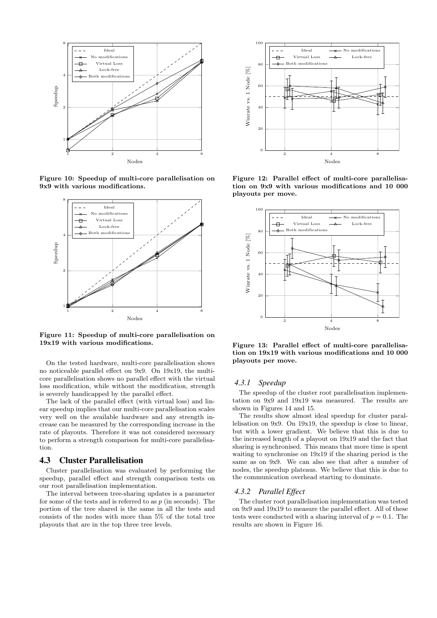

Figure 10: Speedup of multi-core parallelisation on 9x9 with various modifications.



Figure 11: Speedup of multi-core parallelisation on 19x19 with various modifications.

On the tested hardware, multi-core parallelisation shows no noticeable parallel effect on 9x9. On 19x19, the multicore parallelisation shows no parallel effect with the virtual loss modification, while without the modification, strength is severely handicapped by the parallel effect.

The lack of the parallel effect (with virtual loss) and linear speedup implies that our multi-core parallelisation scales very well on the available hardware and any strength increase can be measured by the corresponding increase in the rate of playouts. Therefore it was not considered necessary to perform a strength comparison for multi-core parallelisation.

## 4.3 Cluster Parallelisation

Cluster parallelisation was evaluated by performing the speedup, parallel effect and strength comparison tests on our root parallelisation implementation.

The interval between tree-sharing updates is a parameter for some of the tests and is referred to as  $p$  (in seconds). The portion of the tree shared is the same in all the tests and consists of the nodes with more than 5% of the total tree playouts that are in the top three tree levels.



Figure 12: Parallel effect of multi-core parallelisation on 9x9 with various modifications and 10 000 playouts per move.



Figure 13: Parallel effect of multi-core parallelisation on 19x19 with various modifications and 10 000 playouts per move.

#### *4.3.1 Speedup*

The speedup of the cluster root parallelisation implementation on 9x9 and 19x19 was measured. The results are shown in Figures 14 and 15.

The results show almost ideal speedup for cluster parallelisation on 9x9. On 19x19, the speedup is close to linear, but with a lower gradient. We believe that this is due to the increased length of a playout on 19x19 and the fact that sharing is synchronised. This means that more time is spent waiting to synchronise on 19x19 if the sharing period is the same as on 9x9. We can also see that after a number of nodes, the speedup plateaus. We believe that this is due to the communication overhead starting to dominate.

#### *4.3.2 Parallel Effect*

The cluster root parallelisation implementation was tested on 9x9 and 19x19 to measure the parallel effect. All of these tests were conducted with a sharing interval of  $p = 0.1$ . The results are shown in Figure 16.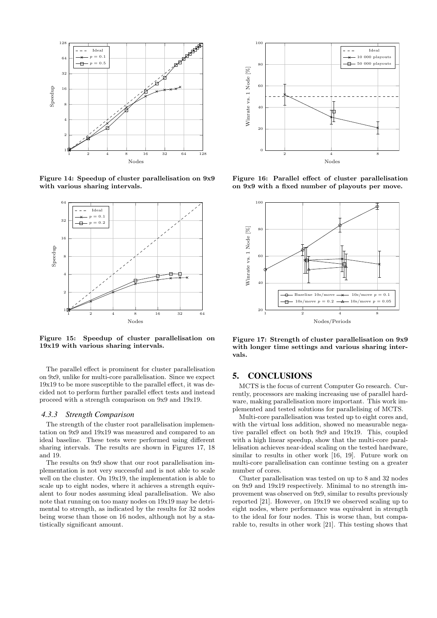

Figure 14: Speedup of cluster parallelisation on 9x9 with various sharing intervals.



Figure 15: Speedup of cluster parallelisation on 19x19 with various sharing intervals.

The parallel effect is prominent for cluster parallelisation on 9x9, unlike for multi-core parallelisation. Since we expect 19x19 to be more susceptible to the parallel effect, it was decided not to perform further parallel effect tests and instead proceed with a strength comparison on 9x9 and 19x19.

#### *4.3.3 Strength Comparison*

The strength of the cluster root parallelisation implementation on 9x9 and 19x19 was measured and compared to an ideal baseline. These tests were performed using different sharing intervals. The results are shown in Figures 17, 18 and 19.

The results on 9x9 show that our root parallelisation implementation is not very successful and is not able to scale well on the cluster. On 19x19, the implementation is able to scale up to eight nodes, where it achieves a strength equivalent to four nodes assuming ideal parallelisation. We also note that running on too many nodes on 19x19 may be detrimental to strength, as indicated by the results for 32 nodes being worse than those on 16 nodes, although not by a statistically significant amount.



Figure 16: Parallel effect of cluster parallelisation on 9x9 with a fixed number of playouts per move.



Figure 17: Strength of cluster parallelisation on 9x9 with longer time settings and various sharing intervals.

# 5. CONCLUSIONS

MCTS is the focus of current Computer Go research. Currently, processors are making increasing use of parallel hardware, making parallelisation more important. This work implemented and tested solutions for parallelising of MCTS.

Multi-core parallelisation was tested up to eight cores and, with the virtual loss addition, showed no measurable negative parallel effect on both 9x9 and 19x19. This, coupled with a high linear speedup, show that the multi-core parallelisation achieves near-ideal scaling on the tested hardware, similar to results in other work [16, 19]. Future work on multi-core parallelisation can continue testing on a greater number of cores.

Cluster parallelisation was tested on up to 8 and 32 nodes on 9x9 and 19x19 respectively. Minimal to no strength improvement was observed on 9x9, similar to results previously reported [21]. However, on 19x19 we observed scaling up to eight nodes, where performance was equivalent in strength to the ideal for four nodes. This is worse than, but comparable to, results in other work [21]. This testing shows that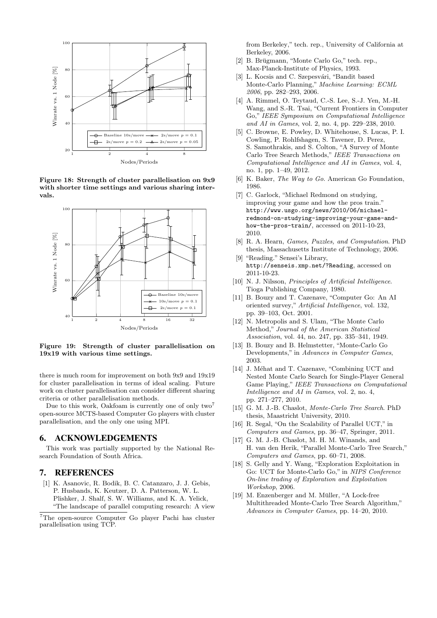

Figure 18: Strength of cluster parallelisation on 9x9 with shorter time settings and various sharing intervals.



Figure 19: Strength of cluster parallelisation on 19x19 with various time settings.

there is much room for improvement on both 9x9 and 19x19 for cluster parallelisation in terms of ideal scaling. Future work on cluster parallelisation can consider different sharing criteria or other parallelisation methods.

Due to this work, Oakfoam is currently one of only  $two<sup>7</sup>$ open-source MCTS-based Computer Go players with cluster parallelisation, and the only one using MPI.

## 6. ACKNOWLEDGEMENTS

This work was partially supported by the National Research Foundation of South Africa.

## 7. REFERENCES

[1] K. Asanovic, R. Bodik, B. C. Catanzaro, J. J. Gebis, P. Husbands, K. Keutzer, D. A. Patterson, W. L. Plishker, J. Shalf, S. W. Williams, and K. A. Yelick, "The landscape of parallel computing research: A view from Berkeley," tech. rep., University of California at Berkeley, 2006.

- $[2]$  B. Brügmann, "Monte Carlo Go," tech. rep., Max-Planck-Institute of Physics, 1993.
- [3] L. Kocsis and C. Szepesvári, "Bandit based Monte-Carlo Planning," Machine Learning: ECML 2006, pp. 282–293, 2006.
- [4] A. Rimmel, O. Teytaud, C.-S. Lee, S.-J. Yen, M.-H. Wang, and S.-R. Tsai, "Current Frontiers in Computer Go," IEEE Symposium on Computational Intelligence and AI in Games, vol. 2, no. 4, pp. 229–238, 2010.
- [5] C. Browne, E. Powley, D. Whitehouse, S. Lucas, P. I. Cowling, P. Rohlfshagen, S. Tavener, D. Perez, S. Samothrakis, and S. Colton, "A Survey of Monte Carlo Tree Search Methods," IEEE Transactions on Computational Intelligence and AI in Games, vol. 4, no. 1, pp. 1–49, 2012.
- [6] K. Baker, The Way to Go. American Go Foundation, 1986.
- [7] C. Garlock, "Michael Redmond on studying, improving your game and how the pros train." http://www.usgo.org/news/2010/06/michaelredmond-on-studying-improving-your-game-andhow-the-pros-train/, accessed on 2011-10-23, 2010.
- [8] R. A. Hearn, Games, Puzzles, and Computation. PhD thesis, Massachusetts Institute of Technology, 2006. [9] "Reading." Sensei's Library,
- http://senseis.xmp.net/?Reading, accessed on 2011-10-23.
- [10] N. J. Nilsson, Principles of Artificial Intelligence. Tioga Publishing Company, 1980.
- [11] B. Bouzy and T. Cazenave, "Computer Go: An AI oriented survey," Artificial Intelligence, vol. 132, pp. 39–103, Oct. 2001.
- [12] N. Metropolis and S. Ulam, "The Monte Carlo Method," Journal of the American Statistical Association, vol. 44, no. 247, pp. 335–341, 1949.
- [13] B. Bouzy and B. Helmstetter, "Monte-Carlo Go Developments," in Advances in Computer Games, 2003.
- [14] J. Méhat and T. Cazenave, "Combining UCT and Nested Monte Carlo Search for Single-Player General Game Playing," IEEE Transactions on Computational Intelligence and AI in Games, vol. 2, no. 4, pp. 271–277, 2010.
- [15] G. M. J.-B. Chaslot, Monte-Carlo Tree Search. PhD thesis, Maastricht University, 2010.
- [16] R. Segal, "On the Scalability of Parallel UCT," in Computers and Games, pp. 36–47, Springer, 2011.
- [17] G. M. J.-B. Chaslot, M. H. M. Winands, and H. van den Herik, "Parallel Monte-Carlo Tree Search," Computers and Games, pp. 60–71, 2008.
- [18] S. Gelly and Y. Wang, "Exploration Exploitation in Go: UCT for Monte-Carlo Go," in NIPS Conference On-line trading of Exploration and Exploitation Workshop, 2006.
- [19] M. Enzenberger and M. Müller, "A Lock-free Multithreaded Monte-Carlo Tree Search Algorithm," Advances in Computer Games, pp. 14–20, 2010.

<sup>7</sup>The open-source Computer Go player Pachi has cluster parallelisation using TCP.